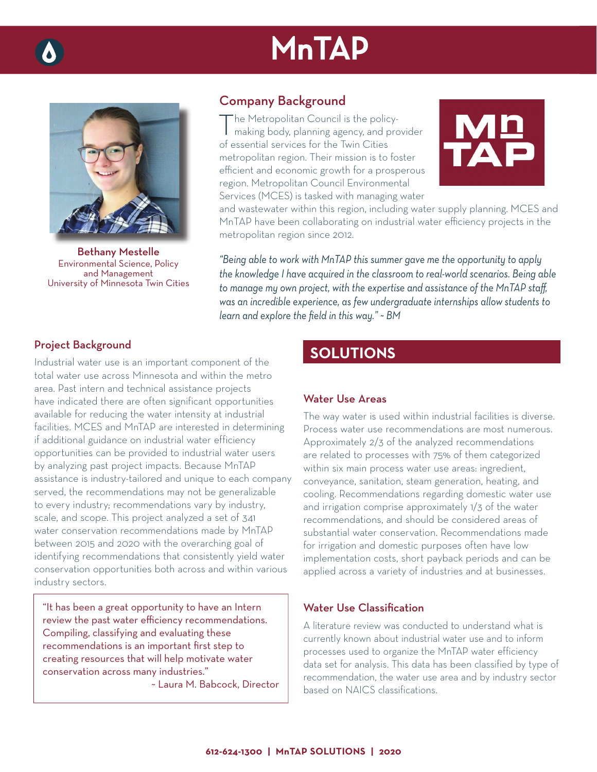# **MnTAP**



Bethany Mestelle Environmental Science, Policy and Management University of Minnesota Twin Cities

# Company Background

The Metropolitan Council is the policymaking body, planning agency, and provider of essential services for the Twin Cities metropolitan region. Their mission is to foster efficient and economic growth for a prosperous region. Metropolitan Council Environmental Services (MCES) is tasked with managing water



and wastewater within this region, including water supply planning. MCES and MnTAP have been collaborating on industrial water efficiency projects in the metropolitan region since 2012.

*"Being able to work with MnTAP this summer gave me the opportunity to apply the knowledge I have acquired in the classroom to real-world scenarios. Being able*  to manage my own project, with the expertise and assistance of the MnTAP staff, *was an incredible experience, as few undergraduate internships allow students to learn and explore the field in this way." ~ BM* 

### Project Background

Industrial water use is an important component of the total water use across Minnesota and within the metro area. Past intern and technical assistance projects have indicated there are often significant opportunities available for reducing the water intensity at industrial facilities. MCES and MnTAP are interested in determining if additional guidance on industrial water efficiency opportunities can be provided to industrial water users by analyzing past project impacts. Because MnTAP assistance is industry-tailored and unique to each company served, the recommendations may not be generalizable to every industry; recommendations vary by industry, scale, and scope. This project analyzed a set of 341 water conservation recommendations made by MnTAP between 2015 and 2020 with the overarching goal of identifying recommendations that consistently yield water conservation opportunities both across and within various industry sectors.

"It has been a great opportunity to have an Intern review the past water efficiency recommendations. Compiling, classifying and evaluating these recommendations is an important first step to creating resources that will help motivate water conservation across many industries."

~ Laura M. Babcock, Director

# **SOLUTIONS**

#### Water Use Areas

The way water is used within industrial facilities is diverse. Process water use recommendations are most numerous. Approximately 2/3 of the analyzed recommendations are related to processes with 75% of them categorized within six main process water use areas: ingredient, conveyance, sanitation, steam generation, heating, and cooling. Recommendations regarding domestic water use and irrigation comprise approximately 1/3 of the water recommendations, and should be considered areas of substantial water conservation. Recommendations made for irrigation and domestic purposes often have low implementation costs, short payback periods and can be applied across a variety of industries and at businesses.

## Water Use Classification

A literature review was conducted to understand what is currently known about industrial water use and to inform processes used to organize the MnTAP water efficiency data set for analysis. This data has been classified by type of recommendation, the water use area and by industry sector based on NAICS classifications.